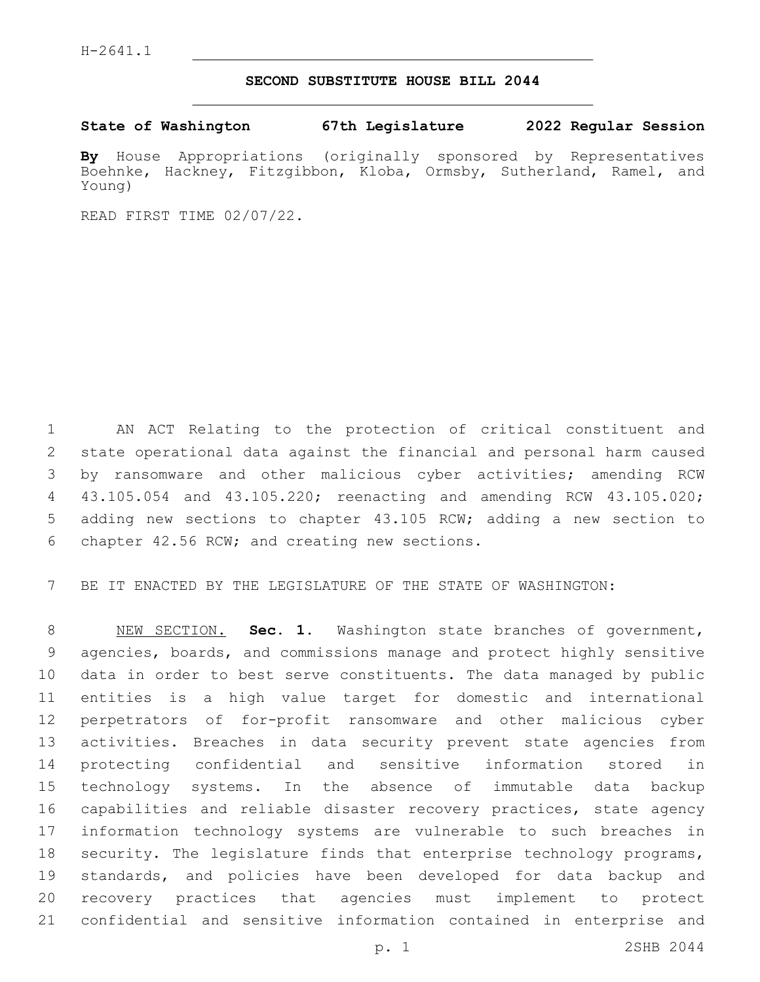## **SECOND SUBSTITUTE HOUSE BILL 2044**

**State of Washington 67th Legislature 2022 Regular Session**

**By** House Appropriations (originally sponsored by Representatives Boehnke, Hackney, Fitzgibbon, Kloba, Ormsby, Sutherland, Ramel, and Young)

READ FIRST TIME 02/07/22.

 AN ACT Relating to the protection of critical constituent and state operational data against the financial and personal harm caused by ransomware and other malicious cyber activities; amending RCW 43.105.054 and 43.105.220; reenacting and amending RCW 43.105.020; adding new sections to chapter 43.105 RCW; adding a new section to chapter 42.56 RCW; and creating new sections.6

BE IT ENACTED BY THE LEGISLATURE OF THE STATE OF WASHINGTON:

 NEW SECTION. **Sec. 1.** Washington state branches of government, agencies, boards, and commissions manage and protect highly sensitive data in order to best serve constituents. The data managed by public entities is a high value target for domestic and international perpetrators of for-profit ransomware and other malicious cyber activities. Breaches in data security prevent state agencies from protecting confidential and sensitive information stored in technology systems. In the absence of immutable data backup capabilities and reliable disaster recovery practices, state agency information technology systems are vulnerable to such breaches in security. The legislature finds that enterprise technology programs, standards, and policies have been developed for data backup and recovery practices that agencies must implement to protect confidential and sensitive information contained in enterprise and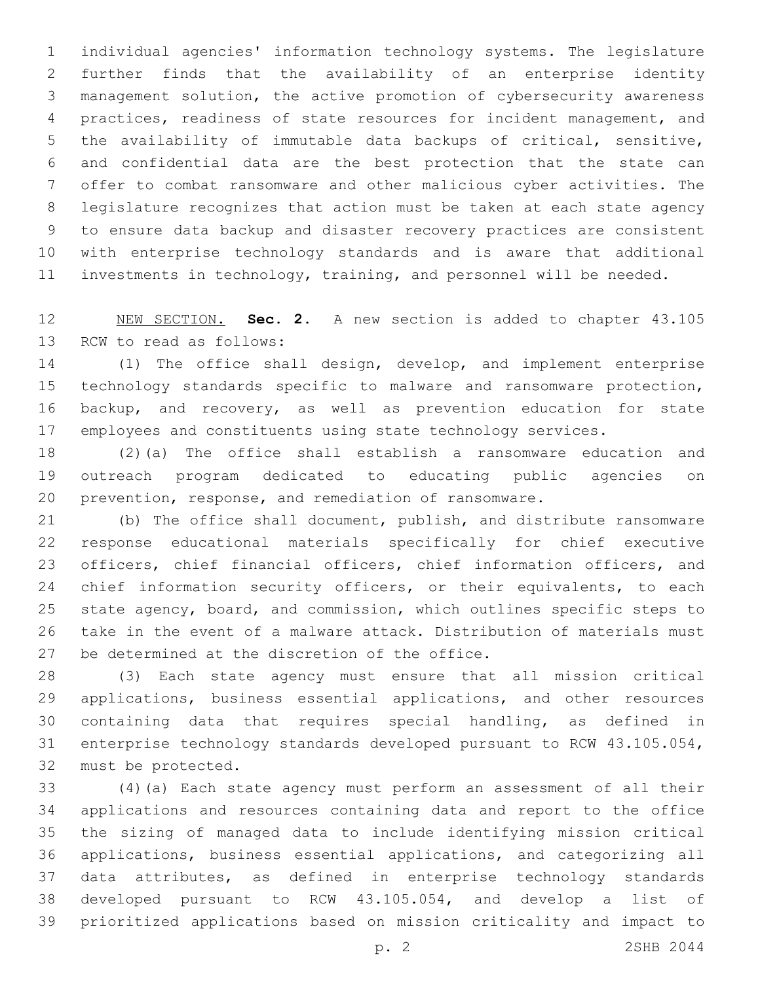individual agencies' information technology systems. The legislature further finds that the availability of an enterprise identity management solution, the active promotion of cybersecurity awareness practices, readiness of state resources for incident management, and the availability of immutable data backups of critical, sensitive, and confidential data are the best protection that the state can offer to combat ransomware and other malicious cyber activities. The legislature recognizes that action must be taken at each state agency to ensure data backup and disaster recovery practices are consistent with enterprise technology standards and is aware that additional investments in technology, training, and personnel will be needed.

 NEW SECTION. **Sec. 2.** A new section is added to chapter 43.105 13 RCW to read as follows:

 (1) The office shall design, develop, and implement enterprise technology standards specific to malware and ransomware protection, backup, and recovery, as well as prevention education for state employees and constituents using state technology services.

 (2)(a) The office shall establish a ransomware education and outreach program dedicated to educating public agencies on prevention, response, and remediation of ransomware.

 (b) The office shall document, publish, and distribute ransomware response educational materials specifically for chief executive officers, chief financial officers, chief information officers, and 24 chief information security officers, or their equivalents, to each state agency, board, and commission, which outlines specific steps to take in the event of a malware attack. Distribution of materials must 27 be determined at the discretion of the office.

 (3) Each state agency must ensure that all mission critical applications, business essential applications, and other resources containing data that requires special handling, as defined in enterprise technology standards developed pursuant to RCW 43.105.054, 32 must be protected.

 (4)(a) Each state agency must perform an assessment of all their applications and resources containing data and report to the office the sizing of managed data to include identifying mission critical applications, business essential applications, and categorizing all data attributes, as defined in enterprise technology standards developed pursuant to RCW 43.105.054, and develop a list of prioritized applications based on mission criticality and impact to

p. 2 2SHB 2044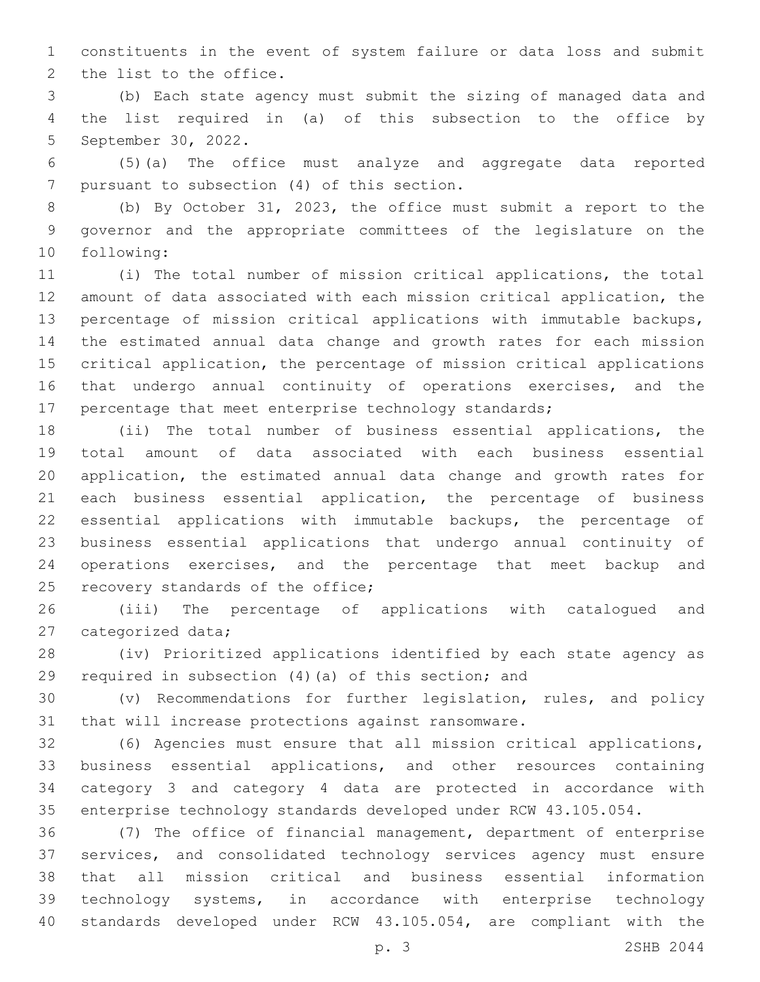constituents in the event of system failure or data loss and submit 2 the list to the office.

 (b) Each state agency must submit the sizing of managed data and the list required in (a) of this subsection to the office by 5 September 30, 2022.

 (5)(a) The office must analyze and aggregate data reported 7 pursuant to subsection (4) of this section.

 (b) By October 31, 2023, the office must submit a report to the governor and the appropriate committees of the legislature on the 10 following:

 (i) The total number of mission critical applications, the total amount of data associated with each mission critical application, the percentage of mission critical applications with immutable backups, the estimated annual data change and growth rates for each mission critical application, the percentage of mission critical applications that undergo annual continuity of operations exercises, and the percentage that meet enterprise technology standards;

 (ii) The total number of business essential applications, the total amount of data associated with each business essential application, the estimated annual data change and growth rates for each business essential application, the percentage of business essential applications with immutable backups, the percentage of business essential applications that undergo annual continuity of operations exercises, and the percentage that meet backup and 25 recovery standards of the office;

 (iii) The percentage of applications with catalogued and 27 categorized data;

 (iv) Prioritized applications identified by each state agency as required in subsection (4)(a) of this section; and

 (v) Recommendations for further legislation, rules, and policy that will increase protections against ransomware.

 (6) Agencies must ensure that all mission critical applications, business essential applications, and other resources containing category 3 and category 4 data are protected in accordance with enterprise technology standards developed under RCW 43.105.054.

 (7) The office of financial management, department of enterprise services, and consolidated technology services agency must ensure that all mission critical and business essential information technology systems, in accordance with enterprise technology standards developed under RCW 43.105.054, are compliant with the

p. 3 2SHB 2044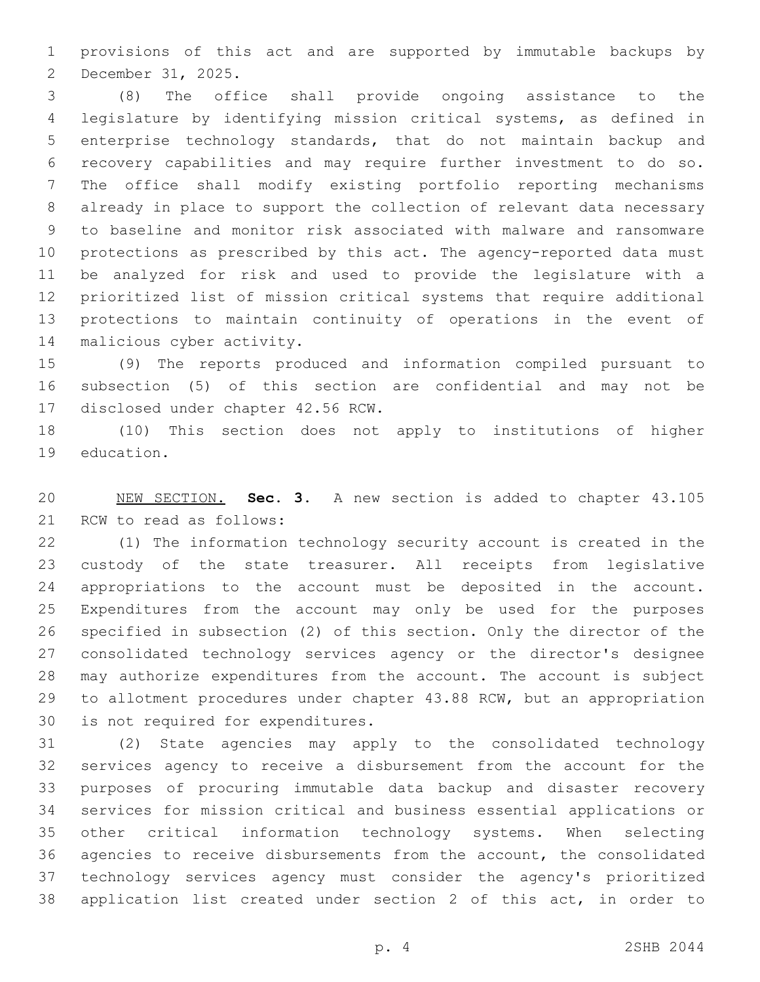provisions of this act and are supported by immutable backups by 2 December 31, 2025.

 (8) The office shall provide ongoing assistance to the legislature by identifying mission critical systems, as defined in enterprise technology standards, that do not maintain backup and recovery capabilities and may require further investment to do so. The office shall modify existing portfolio reporting mechanisms already in place to support the collection of relevant data necessary to baseline and monitor risk associated with malware and ransomware protections as prescribed by this act. The agency-reported data must be analyzed for risk and used to provide the legislature with a prioritized list of mission critical systems that require additional protections to maintain continuity of operations in the event of 14 malicious cyber activity.

 (9) The reports produced and information compiled pursuant to subsection (5) of this section are confidential and may not be 17 disclosed under chapter 42.56 RCW.

 (10) This section does not apply to institutions of higher 19 education.

 NEW SECTION. **Sec. 3.** A new section is added to chapter 43.105 21 RCW to read as follows:

 (1) The information technology security account is created in the custody of the state treasurer. All receipts from legislative appropriations to the account must be deposited in the account. Expenditures from the account may only be used for the purposes specified in subsection (2) of this section. Only the director of the consolidated technology services agency or the director's designee may authorize expenditures from the account. The account is subject to allotment procedures under chapter 43.88 RCW, but an appropriation 30 is not required for expenditures.

 (2) State agencies may apply to the consolidated technology services agency to receive a disbursement from the account for the purposes of procuring immutable data backup and disaster recovery services for mission critical and business essential applications or other critical information technology systems. When selecting agencies to receive disbursements from the account, the consolidated technology services agency must consider the agency's prioritized application list created under section 2 of this act, in order to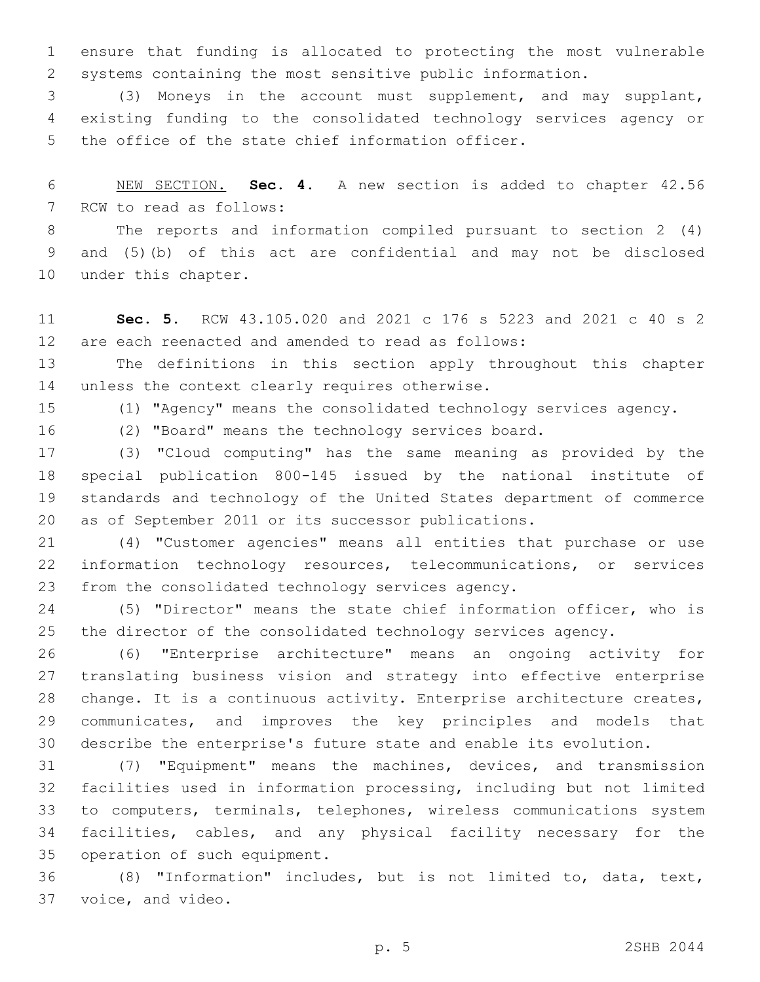ensure that funding is allocated to protecting the most vulnerable systems containing the most sensitive public information.

 (3) Moneys in the account must supplement, and may supplant, existing funding to the consolidated technology services agency or 5 the office of the state chief information officer.

 NEW SECTION. **Sec. 4.** A new section is added to chapter 42.56 7 RCW to read as follows:

 The reports and information compiled pursuant to section 2 (4) and (5)(b) of this act are confidential and may not be disclosed 10 under this chapter.

 **Sec. 5.** RCW 43.105.020 and 2021 c 176 s 5223 and 2021 c 40 s 2 are each reenacted and amended to read as follows:

 The definitions in this section apply throughout this chapter 14 unless the context clearly requires otherwise.

(1) "Agency" means the consolidated technology services agency.

(2) "Board" means the technology services board.

 (3) "Cloud computing" has the same meaning as provided by the special publication 800-145 issued by the national institute of standards and technology of the United States department of commerce as of September 2011 or its successor publications.

 (4) "Customer agencies" means all entities that purchase or use information technology resources, telecommunications, or services 23 from the consolidated technology services agency.

 (5) "Director" means the state chief information officer, who is the director of the consolidated technology services agency.

 (6) "Enterprise architecture" means an ongoing activity for translating business vision and strategy into effective enterprise change. It is a continuous activity. Enterprise architecture creates, communicates, and improves the key principles and models that describe the enterprise's future state and enable its evolution.

 (7) "Equipment" means the machines, devices, and transmission facilities used in information processing, including but not limited to computers, terminals, telephones, wireless communications system facilities, cables, and any physical facility necessary for the 35 operation of such equipment.

 (8) "Information" includes, but is not limited to, data, text, 37 voice, and video.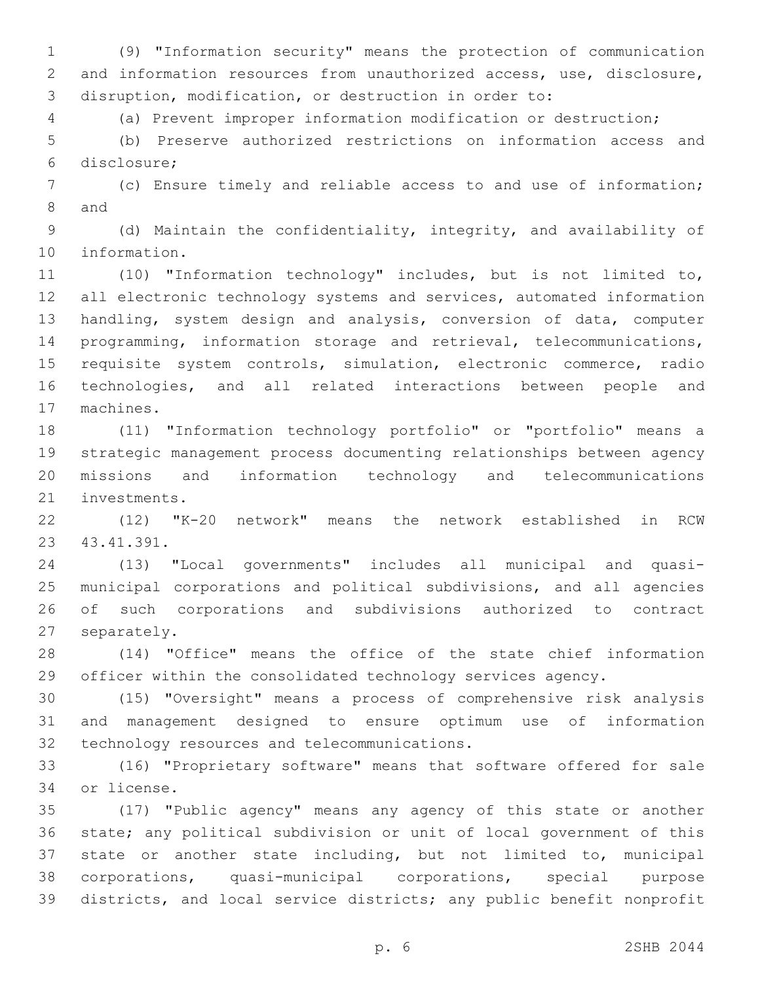(9) "Information security" means the protection of communication and information resources from unauthorized access, use, disclosure, disruption, modification, or destruction in order to:

(a) Prevent improper information modification or destruction;

 (b) Preserve authorized restrictions on information access and disclosure;6

 (c) Ensure timely and reliable access to and use of information; 8 and

 (d) Maintain the confidentiality, integrity, and availability of 10 information.

 (10) "Information technology" includes, but is not limited to, 12 all electronic technology systems and services, automated information handling, system design and analysis, conversion of data, computer programming, information storage and retrieval, telecommunications, requisite system controls, simulation, electronic commerce, radio technologies, and all related interactions between people and 17 machines.

 (11) "Information technology portfolio" or "portfolio" means a strategic management process documenting relationships between agency missions and information technology and telecommunications 21 investments.

 (12) "K-20 network" means the network established in RCW 43.41.391.23

 (13) "Local governments" includes all municipal and quasi- municipal corporations and political subdivisions, and all agencies of such corporations and subdivisions authorized to contract 27 separately.

 (14) "Office" means the office of the state chief information officer within the consolidated technology services agency.

 (15) "Oversight" means a process of comprehensive risk analysis and management designed to ensure optimum use of information 32 technology resources and telecommunications.

 (16) "Proprietary software" means that software offered for sale 34 or license.

 (17) "Public agency" means any agency of this state or another state; any political subdivision or unit of local government of this state or another state including, but not limited to, municipal corporations, quasi-municipal corporations, special purpose districts, and local service districts; any public benefit nonprofit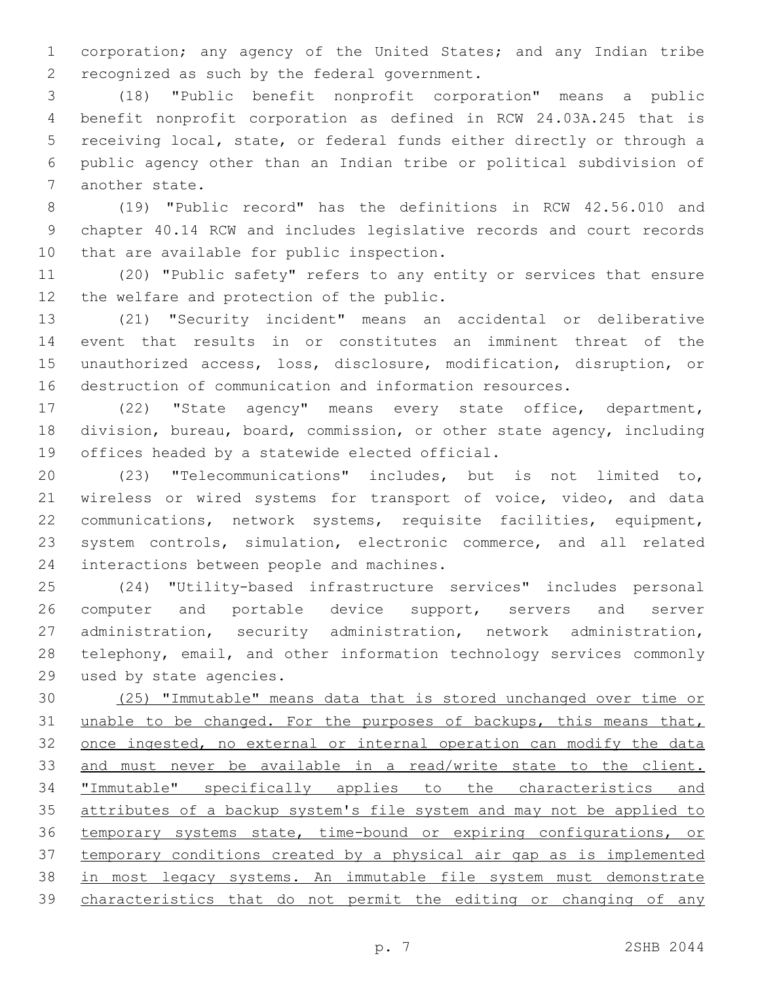corporation; any agency of the United States; and any Indian tribe 2 recognized as such by the federal government.

 (18) "Public benefit nonprofit corporation" means a public benefit nonprofit corporation as defined in RCW 24.03A.245 that is receiving local, state, or federal funds either directly or through a public agency other than an Indian tribe or political subdivision of 7 another state.

 (19) "Public record" has the definitions in RCW 42.56.010 and chapter 40.14 RCW and includes legislative records and court records 10 that are available for public inspection.

 (20) "Public safety" refers to any entity or services that ensure 12 the welfare and protection of the public.

 (21) "Security incident" means an accidental or deliberative event that results in or constitutes an imminent threat of the unauthorized access, loss, disclosure, modification, disruption, or destruction of communication and information resources.

 (22) "State agency" means every state office, department, division, bureau, board, commission, or other state agency, including 19 offices headed by a statewide elected official.

 (23) "Telecommunications" includes, but is not limited to, wireless or wired systems for transport of voice, video, and data communications, network systems, requisite facilities, equipment, system controls, simulation, electronic commerce, and all related 24 interactions between people and machines.

 (24) "Utility-based infrastructure services" includes personal 26 computer and portable device support, servers and server administration, security administration, network administration, telephony, email, and other information technology services commonly 29 used by state agencies.

 (25) "Immutable" means data that is stored unchanged over time or 31 unable to be changed. For the purposes of backups, this means that, 32 once ingested, no external or internal operation can modify the data and must never be available in a read/write state to the client. "Immutable" specifically applies to the characteristics and attributes of a backup system's file system and may not be applied to temporary systems state, time-bound or expiring configurations, or temporary conditions created by a physical air gap as is implemented in most legacy systems. An immutable file system must demonstrate characteristics that do not permit the editing or changing of any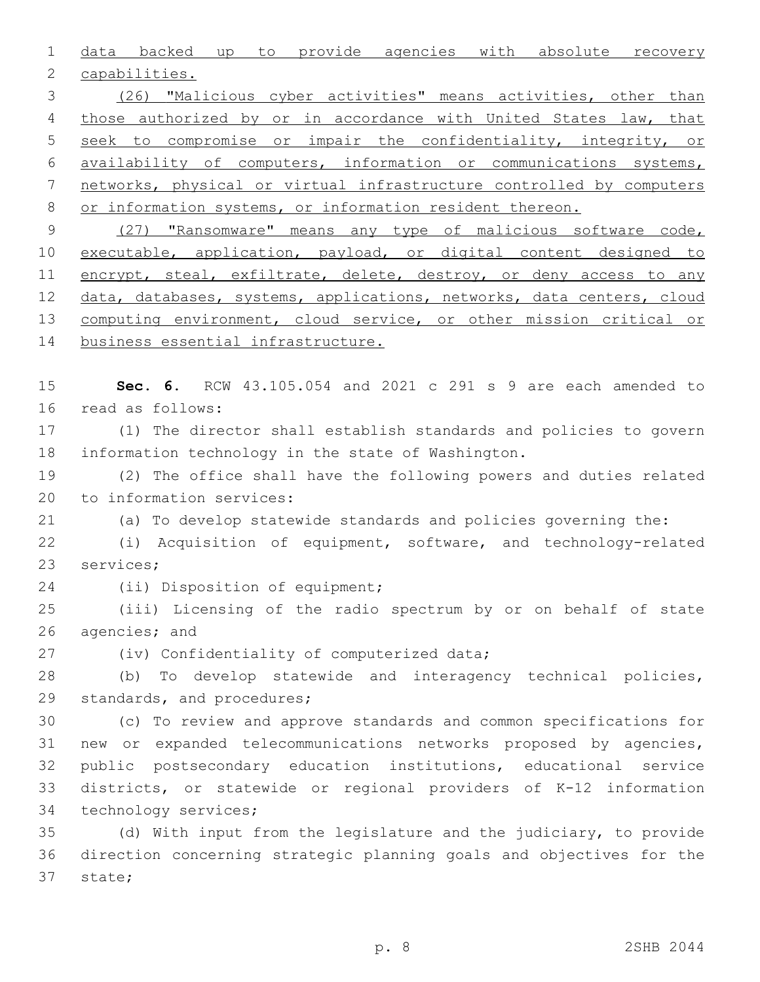1 data backed up to provide agencies with absolute recovery 2 capabilities.

 (26) "Malicious cyber activities" means activities, other than 4 those authorized by or in accordance with United States law, that seek to compromise or impair the confidentiality, integrity, or availability of computers, information or communications systems, networks, physical or virtual infrastructure controlled by computers or information systems, or information resident thereon.

9 (27) "Ransomware" means any type of malicious software code, 10 executable, application, payload, or digital content designed to 11 encrypt, steal, exfiltrate, delete, destroy, or deny access to any 12 data, databases, systems, applications, networks, data centers, cloud 13 computing environment, cloud service, or other mission critical or 14 business essential infrastructure.

15 **Sec. 6.** RCW 43.105.054 and 2021 c 291 s 9 are each amended to 16 read as follows:

17 (1) The director shall establish standards and policies to govern 18 information technology in the state of Washington.

19 (2) The office shall have the following powers and duties related 20 to information services:

21 (a) To develop statewide standards and policies governing the:

22 (i) Acquisition of equipment, software, and technology-related 23 services;

24 (ii) Disposition of equipment;

25 (iii) Licensing of the radio spectrum by or on behalf of state 26 agencies; and

27 (iv) Confidentiality of computerized data;

28 (b) To develop statewide and interagency technical policies, 29 standards, and procedures;

 (c) To review and approve standards and common specifications for new or expanded telecommunications networks proposed by agencies, public postsecondary education institutions, educational service districts, or statewide or regional providers of K-12 information 34 technology services;

35 (d) With input from the legislature and the judiciary, to provide 36 direction concerning strategic planning goals and objectives for the 37 state;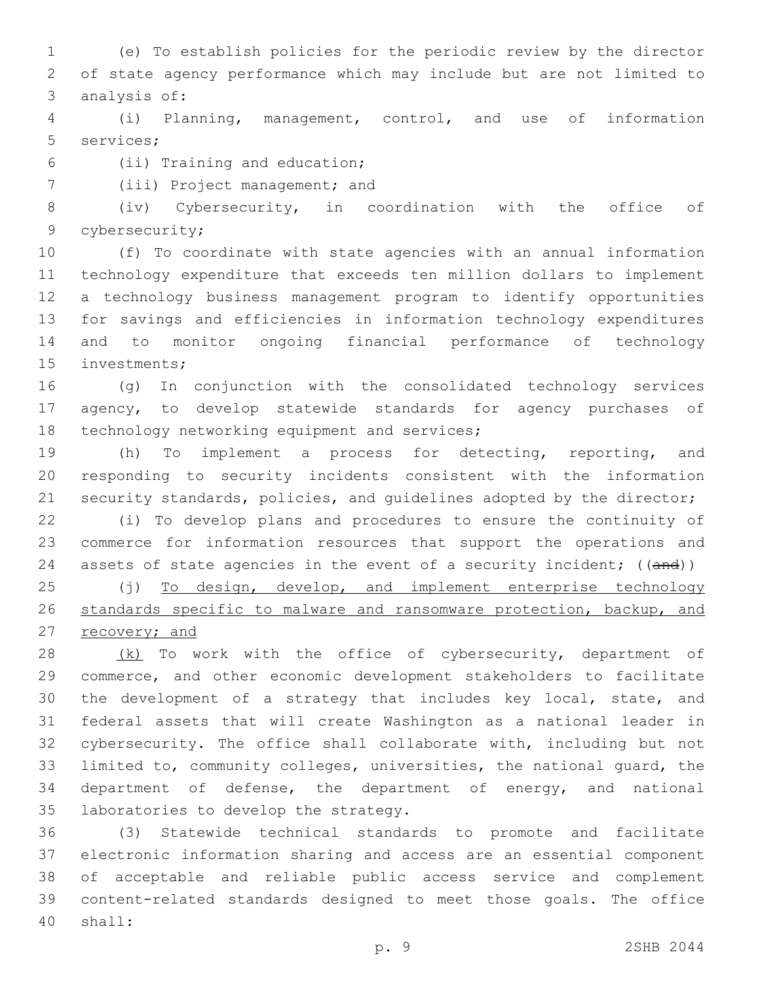(e) To establish policies for the periodic review by the director of state agency performance which may include but are not limited to 3 analysis of:

 (i) Planning, management, control, and use of information 5 services;

- (ii) Training and education;6
- 7 (iii) Project management; and

 (iv) Cybersecurity, in coordination with the office of 9 cybersecurity;

 (f) To coordinate with state agencies with an annual information technology expenditure that exceeds ten million dollars to implement a technology business management program to identify opportunities for savings and efficiencies in information technology expenditures and to monitor ongoing financial performance of technology 15 investments;

 (g) In conjunction with the consolidated technology services agency, to develop statewide standards for agency purchases of 18 technology networking equipment and services;

 (h) To implement a process for detecting, reporting, and responding to security incidents consistent with the information 21 security standards, policies, and quidelines adopted by the director;

 (i) To develop plans and procedures to ensure the continuity of commerce for information resources that support the operations and 24 assets of state agencies in the event of a security incident; ((and))

25 (j) To design, develop, and implement enterprise technology standards specific to malware and ransomware protection, backup, and 27 recovery; and

28 (k) To work with the office of cybersecurity, department of commerce, and other economic development stakeholders to facilitate the development of a strategy that includes key local, state, and federal assets that will create Washington as a national leader in cybersecurity. The office shall collaborate with, including but not limited to, community colleges, universities, the national guard, the department of defense, the department of energy, and national 35 laboratories to develop the strategy.

 (3) Statewide technical standards to promote and facilitate electronic information sharing and access are an essential component of acceptable and reliable public access service and complement content-related standards designed to meet those goals. The office shall:40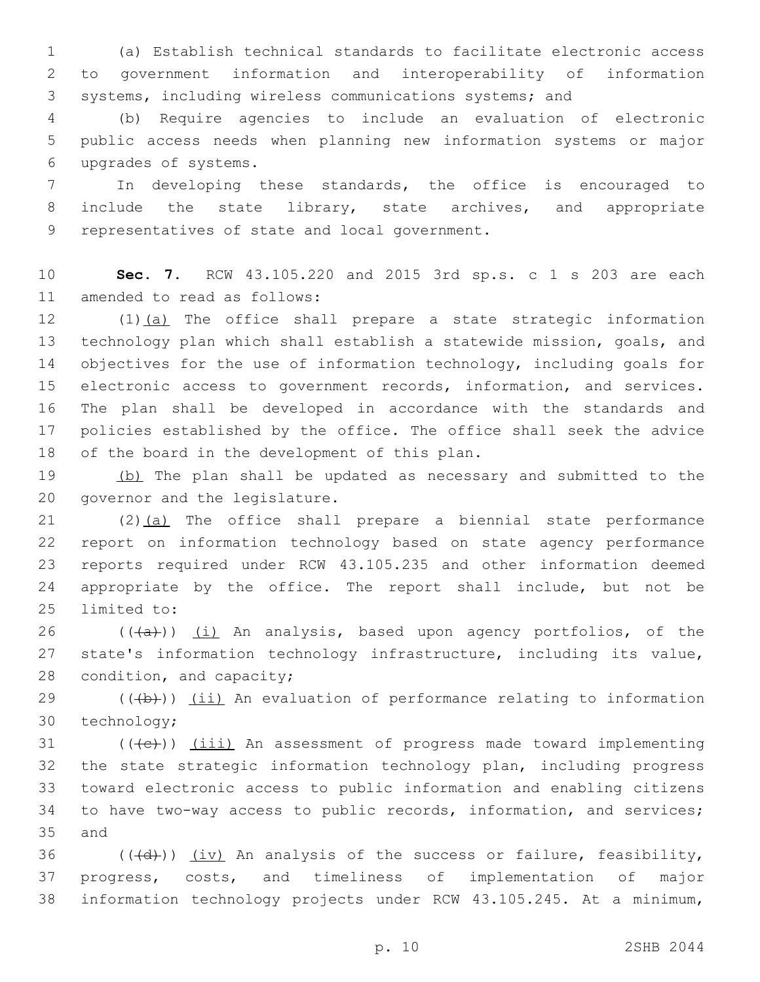1 (a) Establish technical standards to facilitate electronic access 2 to government information and interoperability of information 3 systems, including wireless communications systems; and

4 (b) Require agencies to include an evaluation of electronic 5 public access needs when planning new information systems or major upgrades of systems.6

7 In developing these standards, the office is encouraged to 8 include the state library, state archives, and appropriate 9 representatives of state and local government.

10 **Sec. 7.** RCW 43.105.220 and 2015 3rd sp.s. c 1 s 203 are each 11 amended to read as follows:

12 (1)(a) The office shall prepare a state strategic information 13 technology plan which shall establish a statewide mission, goals, and 14 objectives for the use of information technology, including goals for 15 electronic access to government records, information, and services. 16 The plan shall be developed in accordance with the standards and 17 policies established by the office. The office shall seek the advice 18 of the board in the development of this plan.

19 (b) The plan shall be updated as necessary and submitted to the 20 governor and the legislature.

 (2)(a) The office shall prepare a biennial state performance report on information technology based on state agency performance reports required under RCW 43.105.235 and other information deemed appropriate by the office. The report shall include, but not be 25 limited to:

26 ( $(\overline{a})$ ) (i) An analysis, based upon agency portfolios, of the 27 state's information technology infrastructure, including its value, 28 condition, and capacity;

 $29$  (( $\left(\frac{1}{2}+\right)$ ) (ii) An evaluation of performance relating to information 30 technology;

 (( $\left(\frac{1}{11}\right)$ ) (iii) An assessment of progress made toward implementing the state strategic information technology plan, including progress toward electronic access to public information and enabling citizens to have two-way access to public records, information, and services; 35 and

36  $((\overline{d}))$   $(iv)$  An analysis of the success or failure, feasibility, 37 progress, costs, and timeliness of implementation of major 38 information technology projects under RCW 43.105.245. At a minimum,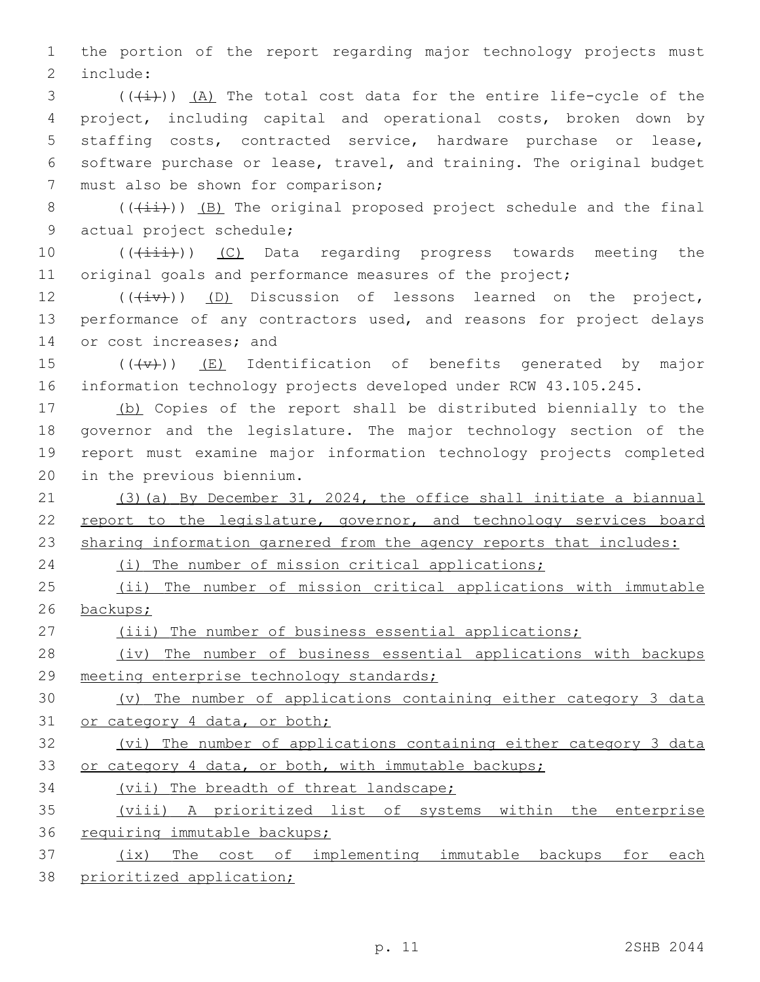1 the portion of the report regarding major technology projects must 2 include:

 (( $\frac{1}{1}$ ))  $\frac{1}{2}$ ) The total cost data for the entire life-cycle of the project, including capital and operational costs, broken down by staffing costs, contracted service, hardware purchase or lease, software purchase or lease, travel, and training. The original budget 7 must also be shown for comparison;

8 ( $(\frac{1+i}{i})$ ) (B) The original proposed project schedule and the final 9 actual project schedule;

10 (( $(i\text{init})$ ) (C) Data regarding progress towards meeting the 11 original goals and performance measures of the project;

 $12$  (( $(iiv)$ ) (D) Discussion of lessons learned on the project, 13 performance of any contractors used, and reasons for project delays 14 or cost increases; and

15  $((+\nabla)+)(E)$  Identification of benefits generated by major 16 information technology projects developed under RCW 43.105.245.

 (b) Copies of the report shall be distributed biennially to the governor and the legislature. The major technology section of the report must examine major information technology projects completed 20 in the previous biennium.

21 (3)(a) By December 31, 2024, the office shall initiate a biannual 22 report to the legislature, governor, and technology services board 23 sharing information garnered from the agency reports that includes:

24 (i) The number of mission critical applications;

25 (ii) The number of mission critical applications with immutable 26 backups;

27 (iii) The number of business essential applications;

28 (iv) The number of business essential applications with backups 29 meeting enterprise technology standards;

30 (v) The number of applications containing either category 3 data 31 or category 4 data, or both;

32 (vi) The number of applications containing either category 3 data 33 or category 4 data, or both, with immutable backups;

34 (vii) The breadth of threat landscape;

35 (viii) A prioritized list of systems within the enterprise 36 requiring immutable backups;

37 (ix) The cost of implementing immutable backups for each 38 prioritized application;